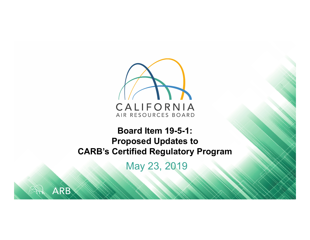

#### **Board Item 19-5-1: Proposed Updates to CARB's Certified Regulatory Program**

May 23, 2019

ARB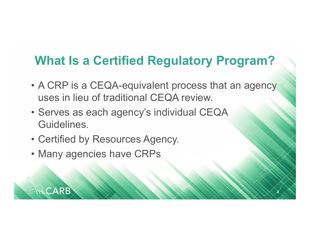#### **What Is a Certified Regulatory Program?**

• A CRP is a CEQA-equivalent process that an agency uses in lieu of traditional CEQA review.

**2**

- Serves as each agency's individual CEQA Guidelines.
- Certified by Resources Agency.
- Many agencies have CRPs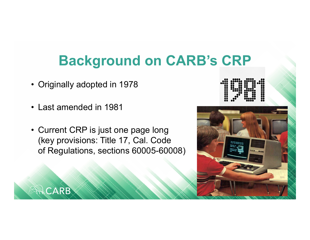## **Background on CARB's CRP**

- Originally adopted in 1978
- Last amended in 1981

CARB

• Current CRP is just one page long (key provisions: Title 17, Cal. Code of Regulations, sections 60005-60008)



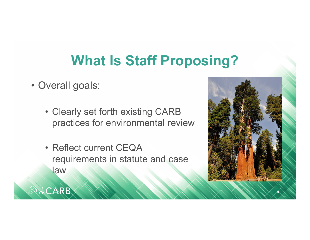## **What Is Staff Proposing?**

• Overall goals:

- Clearly set forth existing CARB practices for environmental review
- Reflect current CEQA requirements in statute and case law

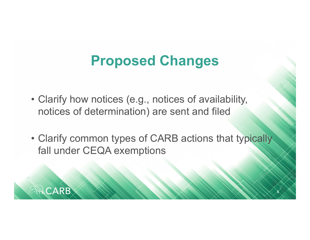## **Proposed Changes**

• Clarify how notices (e.g., notices of availability, notices of determination) are sent and filed

CARB

• Clarify common types of CARB actions that typically fall under CEQA exemptions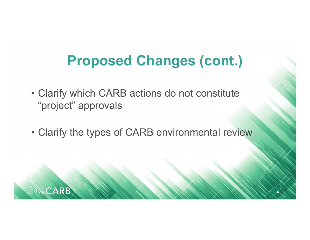## **Proposed Changes (cont.)**

- Clarify which CARB actions do not constitute "project" approvals
- Clarify the types of CARB environmental review

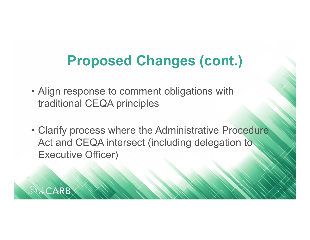## **Proposed Changes (cont.)**

• Align response to comment obligations with traditional CEQA principles

CARB

• Clarify process where the Administrative Procedure Act and CEQA intersect (including delegation to Executive Officer)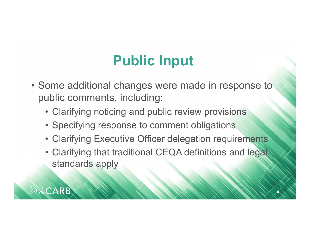# **Public Input**

- Some additional changes were made in response to public comments, including:
	- Clarifying noticing and public review provisions
	- Specifying response to comment obligations
	- Clarifying Executive Officer delegation requirements
	- Clarifying that traditional CEQA definitions and legal standards apply

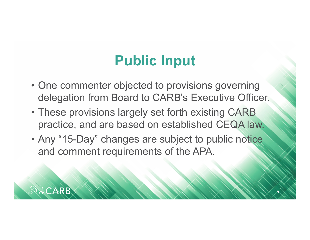## **Public Input**

- One commenter objected to provisions governing delegation from Board to CARB's Executive Officer.
- These provisions largely set forth existing CARB practice, and are based on established CEQA law.
- Any "15-Day" changes are subject to public notice and comment requirements of the APA.

CARB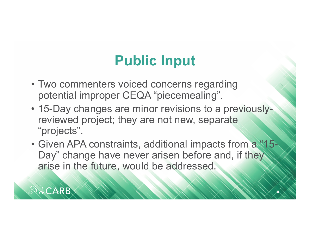# **Public Input**

• Two commenters voiced concerns regarding potential improper CEQA "piecemealing".

- 15-Day changes are minor revisions to a previouslyreviewed project; they are not new, separate "projects".
- Given APA constraints, additional impacts from a "15-Day" change have never arisen before and, if they arise in the future, would be addressed.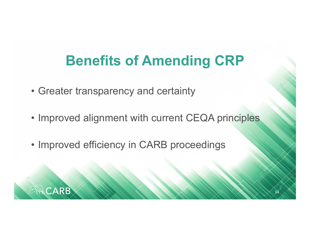# **Benefits of Amending CRP**

• Greater transparency and certainty

- Improved alignment with current CEQA principles
- Improved efficiency in CARB proceedings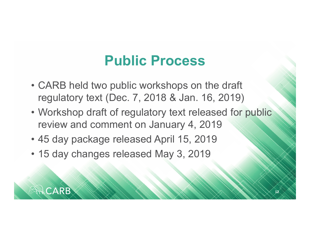## **Public Process**

- CARB held two public workshops on the draft regulatory text (Dec. 7, 2018 & Jan. 16, 2019)
- Workshop draft of regulatory text released for public review and comment on January 4, 2019
- 45 day package released April 15, 2019
- 15 day changes released May 3, 2019